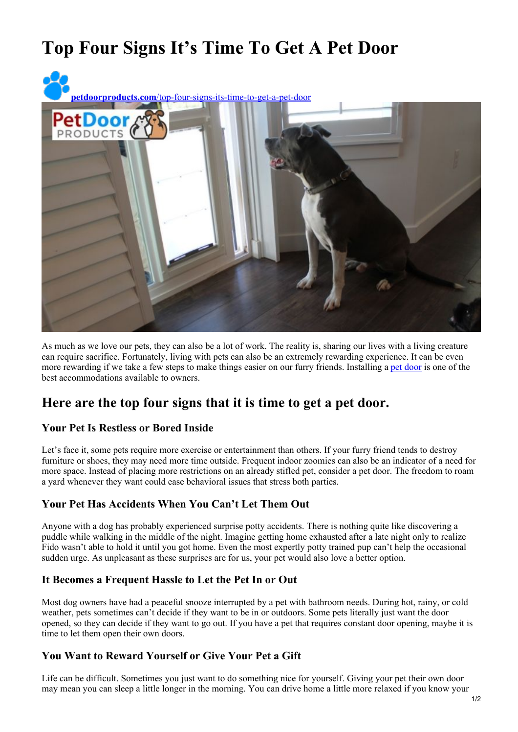# **Top Four Signs It's Time To Get A Pet Door**



As much as we love our pets, they can also be a lot of work. The reality is, sharing our lives with a living creature can require sacrifice. Fortunately, living with pets can also be an extremely rewarding experience. It can be even more rewarding if we take a few steps to make things easier on our furry friends. Installing a pet [door](https://petdoorproducts.com/) is one of the best accommodations available to owners.

## **Here are the top four signs that it is time to get a pet door.**

### **Your Pet Is Restless or Bored Inside**

Let's face it, some pets require more exercise or entertainment than others. If your furry friend tends to destroy furniture or shoes, they may need more time outside. Frequent indoor zoomies can also be an indicator of a need for more space. Instead of placing more restrictions on an already stifled pet, consider a pet door. The freedom to roam a yard whenever they want could ease behavioral issues that stress both parties.

### **Your Pet Has Accidents When You Can't Let Them Out**

Anyone with a dog has probably experienced surprise potty accidents. There is nothing quite like discovering a puddle while walking in the middle of the night. Imagine getting home exhausted after a late night only to realize Fido wasn't able to hold it until you got home. Even the most expertly potty trained pup can't help the occasional sudden urge. As unpleasant as these surprises are for us, your pet would also love a better option.

### **It Becomes a Frequent Hassle to Let the Pet In or Out**

Most dog owners have had a peaceful snooze interrupted by a pet with bathroom needs. During hot, rainy, or cold weather, pets sometimes can't decide if they want to be in or outdoors. Some pets literally just want the door opened, so they can decide if they want to go out. If you have a pet that requires constant door opening, maybe it is time to let them open their own doors.

### **You Want to Reward Yourself or Give Your Pet a Gift**

Life can be difficult. Sometimes you just want to do something nice for yourself. Giving your pet their own door may mean you can sleep a little longer in the morning. You can drive home a little more relaxed if you know your